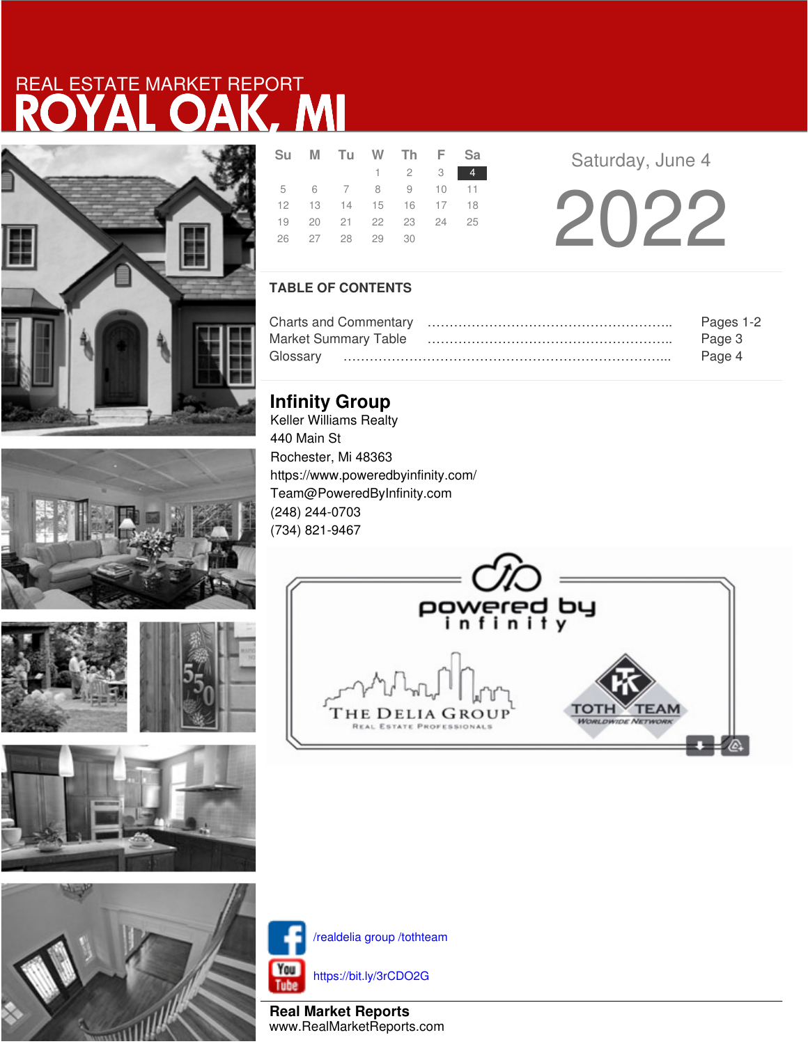# ROYAL OAK, MI REAL ESTATE MARKET REPORT





**CONTRACTOR** 





|  | Su M Tu W Th F Sa          |                             |  |
|--|----------------------------|-----------------------------|--|
|  |                            | $1 \quad 2 \quad 3 \quad 4$ |  |
|  | 5 6 7 8 9 10 11            |                             |  |
|  | 12  13  14  15  16  17  18 |                             |  |
|  | 19 20 21 22 23 24 25       |                             |  |
|  | 26 27 28 29 30             |                             |  |
|  |                            |                             |  |

**Saturday, June 4** 

2022

## **TABLE OF CONTENTS**

|                             | Pages 1-2 |
|-----------------------------|-----------|
| <b>Market Summary Table</b> | Page 3    |
|                             | Page 4    |

## **Infinity Group**

Keller Williams Realty 440 Main St Rochester, Mi 48363 https://www.poweredbyinfinity.com/ Team@PoweredByInfinity.com (248) 244-0703 (734) 821-9467





/realdelia group /tothteam

https://bit.ly/3rCDO2G

**Real Market Reports** www.RealMarketReports.com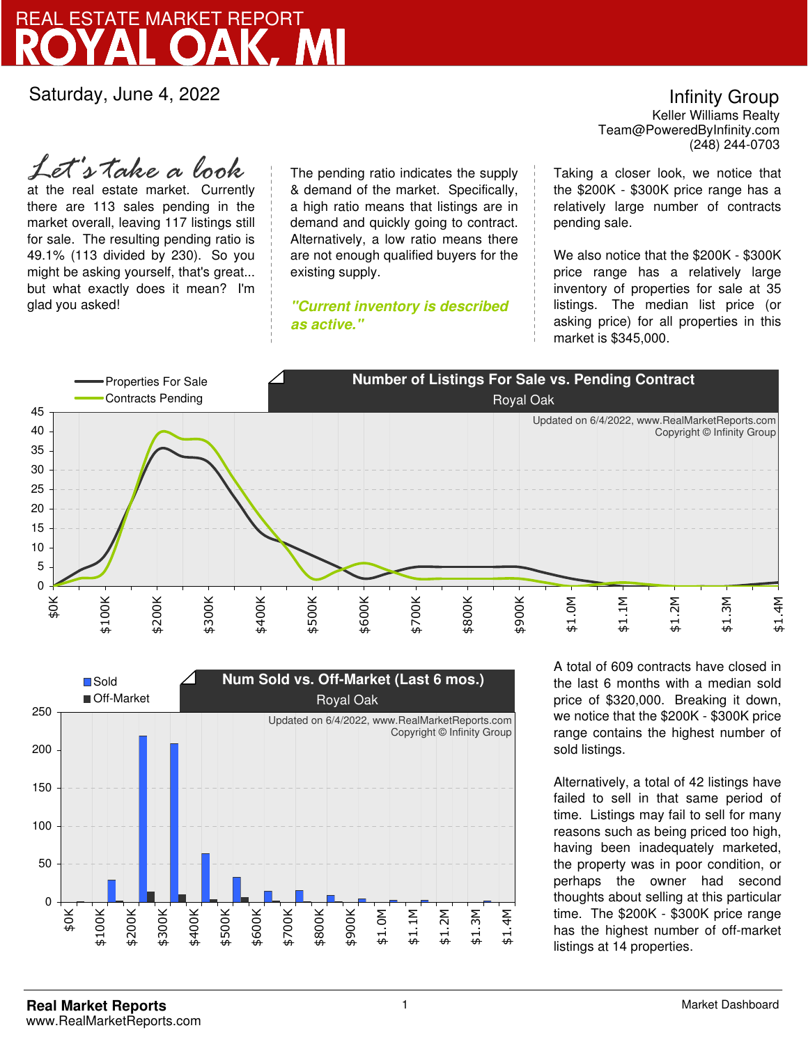## ROAK, REAL ESTATE MARKET REPORT

Saturday, June 4, 2022

at the real estate market. Currently there are 113 sales pending in the market overall, leaving 117 listings still for sale. The resulting pending ratio is 49.1% (113 divided by 230). So you might be asking yourself, that's great... but what exactly does it mean? I'm glad you asked! *Let's take a look*

The pending ratio indicates the supply & demand of the market. Specifically, a high ratio means that listings are in demand and quickly going to contract. Alternatively, a low ratio means there are not enough qualified buyers for the existing supply.

**"Current inventory is described as active."**

Team@PoweredByInfinity.com Infinity Group Keller Williams Realty (248) 244-0703

Taking a closer look, we notice that the \$200K - \$300K price range has a relatively large number of contracts pending sale.

We also notice that the \$200K - \$300K price range has a relatively large inventory of properties for sale at 35 listings. The median list price (or asking price) for all properties in this market is \$345,000.





A total of 609 contracts have closed in the last 6 months with a median sold price of \$320,000. Breaking it down, we notice that the \$200K - \$300K price range contains the highest number of sold listings.

Alternatively, a total of 42 listings have failed to sell in that same period of time. Listings may fail to sell for many reasons such as being priced too high, having been inadequately marketed, the property was in poor condition, or perhaps the owner had second thoughts about selling at this particular time. The \$200K - \$300K price range has the highest number of off-market listings at 14 properties.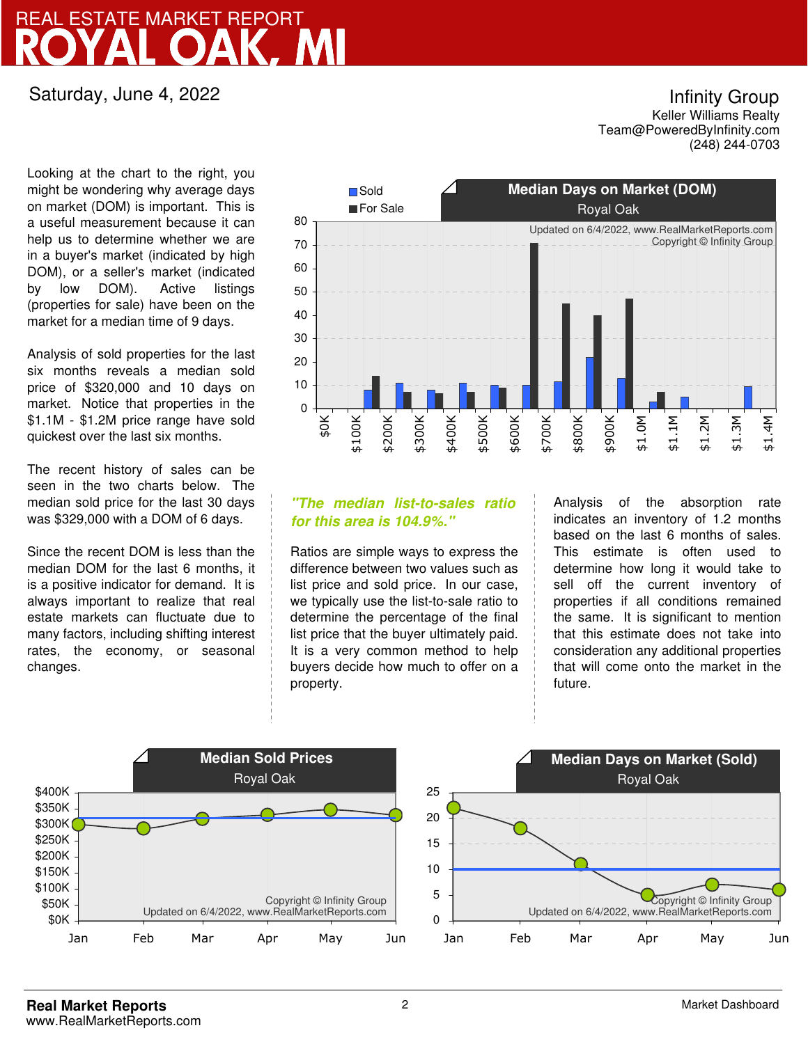## **ROAK** REAL ESTATE MARKET REPORT

## Saturday, June 4, 2022

Looking at the chart to the right, you might be wondering why average days on market (DOM) is important. This is a useful measurement because it can help us to determine whether we are in a buyer's market (indicated by high DOM), or a seller's market (indicated by low DOM). Active listings (properties for sale) have been on the market for a median time of 9 days.

Analysis of sold properties for the last six months reveals a median sold price of \$320,000 and 10 days on market. Notice that properties in the \$1.1M - \$1.2M price range have sold quickest over the last six months.

The recent history of sales can be seen in the two charts below. The median sold price for the last 30 days was \$329,000 with a DOM of 6 days.

Since the recent DOM is less than the median DOM for the last 6 months, it is a positive indicator for demand. It is always important to realize that real estate markets can fluctuate due to many factors, including shifting interest rates, the economy, or seasonal changes.



### **"The median list-to-sales ratio for this area is 104.9%."**

Ratios are simple ways to express the difference between two values such as list price and sold price. In our case, we typically use the list-to-sale ratio to determine the percentage of the final list price that the buyer ultimately paid. It is a very common method to help buyers decide how much to offer on a property.

Analysis of the absorption rate indicates an inventory of 1.2 months based on the last 6 months of sales. This estimate is often used to determine how long it would take to sell off the current inventory of properties if all conditions remained the same. It is significant to mention that this estimate does not take into consideration any additional properties that will come onto the market in the future.



Infinity Group Keller Williams Realty

Team@PoweredByInfinity.com (248) 244-0703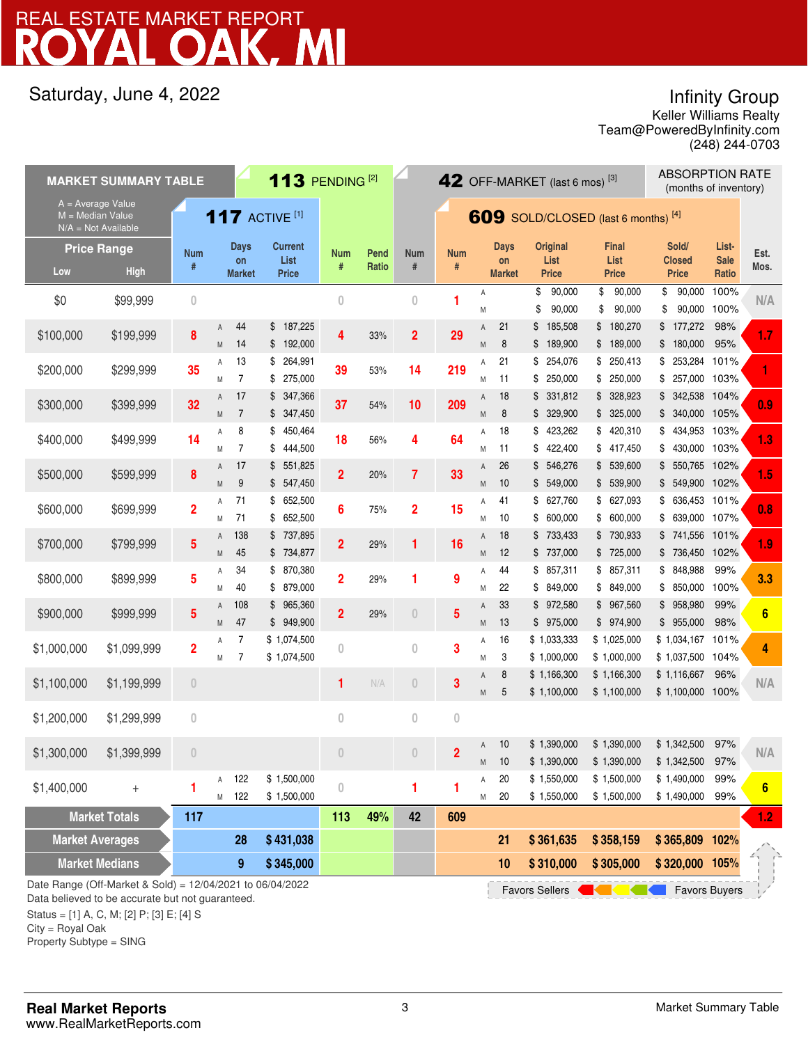# DAK, MI REAL ESTATE MARKET REPORT

## Saturday, June 4, 2022

Infinity Group

Team@PoweredByInfinity.com Keller Williams Realty (248) 244-0703

|                                                      | <b>MARKET SUMMARY TABLE</b>                                                                                                                                    |                         |        |                                    | 113 PENDING <sup>[2]</sup>      |                 |               |                    | <b>ABSORPTION RATE</b><br>42 OFF-MARKET (last 6 mos) $^{[3]}$<br>(months of inventory) |        |                                    |                                         |          |                                      |          |                                        |                               |                 |
|------------------------------------------------------|----------------------------------------------------------------------------------------------------------------------------------------------------------------|-------------------------|--------|------------------------------------|---------------------------------|-----------------|---------------|--------------------|----------------------------------------------------------------------------------------|--------|------------------------------------|-----------------------------------------|----------|--------------------------------------|----------|----------------------------------------|-------------------------------|-----------------|
| $A = Average Value$<br>$M = \overline{Median Value}$ | $N/A = Not Available$                                                                                                                                          |                         |        |                                    | <b>117 ACTIVE [1]</b>           |                 |               |                    | 609 SOLD/CLOSED (last 6 months) [4]                                                    |        |                                    |                                         |          |                                      |          |                                        |                               |                 |
| Low                                                  | <b>Price Range</b><br><b>High</b>                                                                                                                              | <b>Num</b><br>#         |        | <b>Days</b><br>on<br><b>Market</b> | <b>Current</b><br>List<br>Price | <b>Num</b><br># | Pend<br>Ratio | <b>Num</b><br>$\#$ | <b>Num</b><br>#                                                                        |        | <b>Days</b><br>on<br><b>Market</b> | <b>Original</b><br>List<br><b>Price</b> |          | <b>Final</b><br>List<br><b>Price</b> |          | Sold/<br><b>Closed</b><br><b>Price</b> | List-<br><b>Sale</b><br>Ratio | Est.<br>Mos.    |
| \$0                                                  | \$99,999                                                                                                                                                       | $\overline{0}$          |        |                                    |                                 | $\bf{0}$        |               | $\overline{0}$     | 1                                                                                      | Α<br>M |                                    | \$<br>90,000<br>\$<br>90,000            | \$<br>\$ | 90,000<br>90,000                     | \$<br>\$ | 90,000<br>90,000                       | 100%<br>100%                  | N/A             |
| \$100,000                                            | \$199,999                                                                                                                                                      | 8                       | Α<br>M | 44<br>14                           | \$187,225<br>\$192,000          | 4               | 33%           | $\overline{2}$     | 29                                                                                     | A<br>M | 21<br>8                            | \$<br>185,508<br>\$189,900              |          | \$180,270<br>\$189,000               |          | \$177,272<br>\$180,000                 | 98%<br>95%                    | 1.7             |
| \$200,000                                            | \$299,999                                                                                                                                                      | 35                      | Α      | 13<br>$\overline{7}$               | 264,991<br>\$                   | 39              | 53%           | 14                 | 219                                                                                    | Α      | 21                                 | 254,076<br>\$                           |          | \$250,413                            | \$       | 253,284                                | 101%                          |                 |
| \$300,000                                            | \$399,999                                                                                                                                                      | 32                      | M<br>A | 17                                 | 275,000<br>\$<br>347,366<br>\$  | 37              | 54%           | 10                 | 209                                                                                    | M<br>Α | 11<br>18                           | 250,000<br>\$<br>331,812<br>\$          |          | \$250,000<br>\$328,923               |          | \$ 257,000 103%<br>\$ 342,538 104%     |                               | 0.9             |
| \$400,000                                            | \$499,999                                                                                                                                                      | 14                      | M<br>Α | $\overline{7}$<br>8                | \$347,450<br>450,464<br>\$      | 18              | 56%           | 4                  | 64                                                                                     | M<br>Α | 8<br>18                            | \$329,900<br>\$423,262                  |          | \$325,000<br>\$420,310               | \$       | \$ 340,000 105%<br>434,953 103%        |                               | 1.3             |
| \$500,000                                            | \$599,999                                                                                                                                                      | 8                       | M<br>A | 7<br>17                            | 444,500<br>\$<br>551,825<br>\$  | $\overline{2}$  | 20%           | $\overline{7}$     | 33                                                                                     | M<br>Α | 11<br>26                           | 422,400<br>\$<br>\$546,276              |          | \$417,450<br>\$ 539,600              | \$       | 430,000 103%<br>$$550,765$ 102%        |                               | 1.5             |
| \$600,000                                            | \$699,999                                                                                                                                                      | $\overline{\mathbf{2}}$ | M<br>Α | 9<br>71                            | \$<br>547,450<br>\$652,500      | $6\phantom{a}$  | 75%           | $\overline{2}$     | 15                                                                                     | M<br>Α | 10<br>41                           | \$ 549,000<br>\$627,760                 |          | \$ 539,900<br>\$627,093              | \$       | \$ 549,900 102%<br>636,453 101%        |                               | 0.8             |
| \$700,000                                            | \$799,999                                                                                                                                                      | 5                       | M<br>A | 71<br>138                          | 652,500<br>\$<br>737,895<br>\$  | $\overline{2}$  | 29%           | 1                  | 16                                                                                     | M<br>Α | 10<br>18                           | \$600,000<br>\$733,433                  |          | \$600,000<br>\$730,933               | \$       | 639,000 107%<br>\$741,556 101%         |                               | 1.9             |
| \$800,000                                            | \$899,999                                                                                                                                                      | 5                       | M<br>Α | 45<br>34                           | \$734,877<br>\$ 870,380         | $\overline{2}$  | 29%           | 1                  | 9                                                                                      | M<br>Α | 12<br>44                           | \$737,000<br>\$857,311                  |          | \$725,000<br>\$857,311               | \$       | \$736,450 102%<br>848,988              | 99%                           | 3.3             |
| \$900,000                                            | \$999,999                                                                                                                                                      | 5                       | M<br>A | 40<br>108                          | \$ 879,000<br>\$965,360         | $\overline{2}$  | 29%           | $\theta$           | 5                                                                                      | M<br>Α | 22<br>33                           | \$849,000<br>\$972,580                  |          | \$849,000<br>\$967,560               | \$       | 850,000<br>\$958,980                   | 100%<br>99%                   | $6\phantom{1}6$ |
| \$1,000,000                                          | \$1,099,999                                                                                                                                                    | $\overline{2}$          | M<br>Α | 47<br>7                            | 949,900<br>\$<br>\$1,074,500    | 0               |               | $\bf{0}$           | 3                                                                                      | M<br>Α | 13<br>16                           | \$975,000<br>\$1,033,333                |          | \$974,900<br>\$1,025,000             |          | \$955,000<br>$$1,034,167$ 101%         | 98%                           | 4               |
|                                                      |                                                                                                                                                                |                         | M      | 7                                  | \$1,074,500                     |                 |               |                    |                                                                                        | M<br>Α | 3<br>8                             | \$1,000,000<br>\$1,166,300              |          | \$1,000,000<br>\$1,166,300           |          | \$1,037,500 104%<br>\$1,116,667        | 96%                           |                 |
| \$1,100,000                                          | \$1,199,999                                                                                                                                                    | $\theta$                |        |                                    |                                 | 1               | N/A           | $\theta$           | 3                                                                                      | M      | 5                                  | \$1,100,000                             |          | \$1,100,000                          |          | \$1,100,000 100%                       |                               | N/A             |
| \$1,200,000                                          | \$1,299,999                                                                                                                                                    | $\bf{0}$                |        |                                    |                                 | $\theta$        |               | $\bf{0}$           | $\bf{0}$                                                                               |        |                                    |                                         |          |                                      |          |                                        |                               |                 |
| \$1,300,000                                          | \$1,399,999                                                                                                                                                    | $\overline{0}$          |        |                                    |                                 | $\overline{0}$  |               | $\theta$           | $\overline{2}$                                                                         | A      | 10                                 | \$1,390,000                             |          | \$1,390,000                          |          | \$1,342,500                            | 97%                           | N/A             |
|                                                      |                                                                                                                                                                |                         | Α      | 122                                | \$1,500,000                     |                 |               |                    |                                                                                        | M<br>Α | 10<br>20                           | \$1,390,000<br>\$1,550,000              |          | \$1,390,000<br>\$1,500,000           |          | \$1,342,500<br>\$1,490,000             | 97%<br>99%                    |                 |
| \$1,400,000                                          | $^{+}$                                                                                                                                                         | 1                       | M      | 122                                | \$1,500,000                     | $\,0\,$         |               | 1                  | 1                                                                                      | M      | 20                                 | \$1,550,000                             |          | \$1,500,000                          |          | \$1,490,000                            | 99%                           | $6\phantom{a}$  |
|                                                      | <b>Market Totals</b>                                                                                                                                           | 117                     |        |                                    |                                 | 113             | 49%           | 42                 | 609                                                                                    |        |                                    |                                         |          |                                      |          |                                        |                               | 1.2             |
| <b>Market Averages</b>                               |                                                                                                                                                                |                         |        | 28                                 | \$431,038                       |                 |               |                    |                                                                                        |        | 21                                 | \$361,635                               |          | \$358,159                            |          | \$365,809 102%                         |                               |                 |
|                                                      | <b>Market Medians</b>                                                                                                                                          |                         |        | $\boldsymbol{9}$                   | \$345,000                       |                 |               |                    |                                                                                        |        | 10                                 | \$310,000                               |          | \$305,000                            |          | \$320,000 105%                         |                               |                 |
|                                                      | Date Range (Off-Market & Sold) = 12/04/2021 to 06/04/2022<br><b>Favors Sellers</b><br><b>Favors Buyers</b><br>Data believed to be accurate but not quaranteed. |                         |        |                                    |                                 |                 |               |                    |                                                                                        |        |                                    |                                         |          |                                      |          |                                        |                               |                 |

Data believed to be accurate but not guaranteed.

Status = [1] A, C, M; [2] P; [3] E; [4] S

City = Royal Oak

Property Subtype = SING